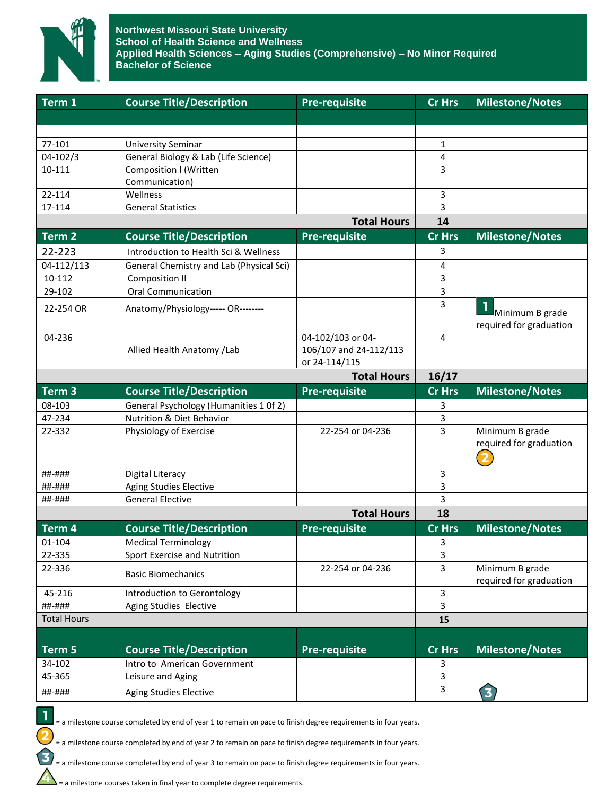

| Term 1             | <b>Course Title/Description</b>          | <b>Pre-requisite</b>                    | <b>Cr Hrs</b>                | <b>Milestone/Notes</b>                     |
|--------------------|------------------------------------------|-----------------------------------------|------------------------------|--------------------------------------------|
|                    |                                          |                                         |                              |                                            |
|                    |                                          |                                         |                              |                                            |
| 77-101             | <b>University Seminar</b>                |                                         | $\mathbf{1}$                 |                                            |
| 04-102/3           | General Biology & Lab (Life Science)     |                                         | 4                            |                                            |
| 10-111             | Composition I (Written                   |                                         | 3                            |                                            |
|                    | Communication)                           |                                         |                              |                                            |
| 22-114             | Wellness                                 |                                         | 3                            |                                            |
| 17-114             | <b>General Statistics</b>                |                                         | 3<br>14                      |                                            |
| <b>Total Hours</b> |                                          |                                         |                              |                                            |
| Term 2             | <b>Course Title/Description</b>          | <b>Pre-requisite</b>                    | <b>Cr Hrs</b>                | <b>Milestone/Notes</b>                     |
| 22-223             | Introduction to Health Sci & Wellness    |                                         | 3                            |                                            |
| 04-112/113         | General Chemistry and Lab (Physical Sci) |                                         | 4                            |                                            |
| 10-112             | <b>Composition II</b>                    |                                         | 3                            |                                            |
| 29-102             | <b>Oral Communication</b>                |                                         | 3                            |                                            |
| 22-254 OR          | Anatomy/Physiology----- OR--------       |                                         | 3                            | Minimum B grade                            |
|                    |                                          |                                         |                              | required for graduation                    |
| 04-236             |                                          | 04-102/103 or 04-                       | 4                            |                                            |
|                    | Allied Health Anatomy / Lab              | 106/107 and 24-112/113<br>or 24-114/115 |                              |                                            |
|                    |                                          | <b>Total Hours</b>                      | 16/17                        |                                            |
| Term <sub>3</sub>  | <b>Course Title/Description</b>          | <b>Pre-requisite</b>                    | Cr Hrs                       | <b>Milestone/Notes</b>                     |
| 08-103             | General Psychology (Humanities 1 Of 2)   |                                         | 3                            |                                            |
| 47-234             | Nutrition & Diet Behavior                |                                         | 3                            |                                            |
| 22-332             | Physiology of Exercise                   | 22-254 or 04-236                        | 3                            | Minimum B grade                            |
|                    |                                          |                                         |                              | required for graduation                    |
| ##-###             | <b>Digital Literacy</b>                  |                                         | 3                            |                                            |
| ##-###             | Aging Studies Elective                   |                                         | 3                            |                                            |
| ##-###             | <b>General Elective</b>                  |                                         | 3                            |                                            |
|                    | <b>Total Hours</b>                       |                                         |                              |                                            |
| Term 4             | <b>Course Title/Description</b>          | <b>Pre-requisite</b>                    | Cr Hrs                       | <b>Milestone/Notes</b>                     |
| 01-104             | <b>Medical Terminology</b>               |                                         | 3                            |                                            |
| 22-335             | Sport Exercise and Nutrition             |                                         | 3                            |                                            |
| 22-336             | <b>Basic Biomechanics</b>                | 22-254 or 04-236                        | $\overline{3}$               | Minimum B grade<br>required for graduation |
| 45-216             | Introduction to Gerontology              |                                         | $\overline{\mathbf{3}}$      |                                            |
| ##-###             | Aging Studies Elective                   |                                         | $\overline{3}$               |                                            |
| <b>Total Hours</b> |                                          |                                         | 15                           |                                            |
| Term 5             | <b>Course Title/Description</b>          | <b>Pre-requisite</b>                    | <b>Cr Hrs</b>                | <b>Milestone/Notes</b>                     |
| 34-102             | Intro to American Government             |                                         |                              |                                            |
| 45-365             | Leisure and Aging                        |                                         | 3<br>$\overline{\mathbf{3}}$ |                                            |
|                    |                                          |                                         | $\overline{3}$               |                                            |
| ##-###             | <b>Aging Studies Elective</b>            |                                         |                              | 3)                                         |

= a milestone course completed by end of year 1 to remain on pace to finish degree requirements in four years.

= a milestone course completed by end of year 2 to remain on pace to finish degree requirements in four years.

= a milestone course completed by end of year 3 to remain on pace to finish degree requirements in four years.

= a milestone courses taken in final year to complete degree requirements.

1

 $\overline{\mathbf{c}}$ 

 $\mathbf{E}$